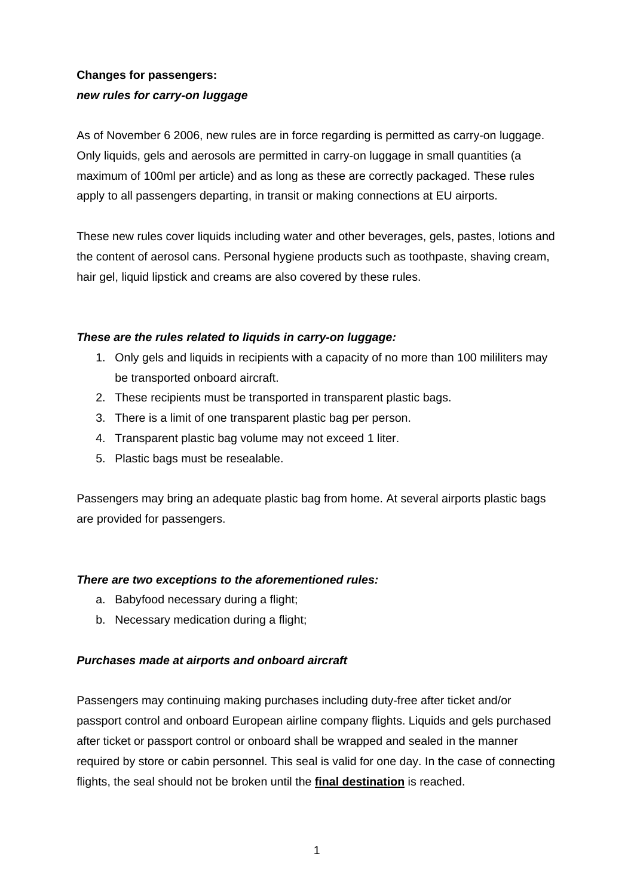# **Changes for passengers:**  *new rules for carry-on luggage*

As of November 6 2006, new rules are in force regarding is permitted as carry-on luggage. Only liquids, gels and aerosols are permitted in carry-on luggage in small quantities (a maximum of 100ml per article) and as long as these are correctly packaged. These rules apply to all passengers departing, in transit or making connections at EU airports.

These new rules cover liquids including water and other beverages, gels, pastes, lotions and the content of aerosol cans. Personal hygiene products such as toothpaste, shaving cream, hair gel, liquid lipstick and creams are also covered by these rules.

### *These are the rules related to liquids in carry-on luggage:*

- 1. Only gels and liquids in recipients with a capacity of no more than 100 mililiters may be transported onboard aircraft.
- 2. These recipients must be transported in transparent plastic bags.
- 3. There is a limit of one transparent plastic bag per person.
- 4. Transparent plastic bag volume may not exceed 1 liter.
- 5. Plastic bags must be resealable.

Passengers may bring an adequate plastic bag from home. At several airports plastic bags are provided for passengers.

## *There are two exceptions to the aforementioned rules:*

- a. Babyfood necessary during a flight;
- b. Necessary medication during a flight;

## *Purchases made at airports and onboard aircraft*

Passengers may continuing making purchases including duty-free after ticket and/or passport control and onboard European airline company flights. Liquids and gels purchased after ticket or passport control or onboard shall be wrapped and sealed in the manner required by store or cabin personnel. This seal is valid for one day. In the case of connecting flights, the seal should not be broken until the **final destination** is reached.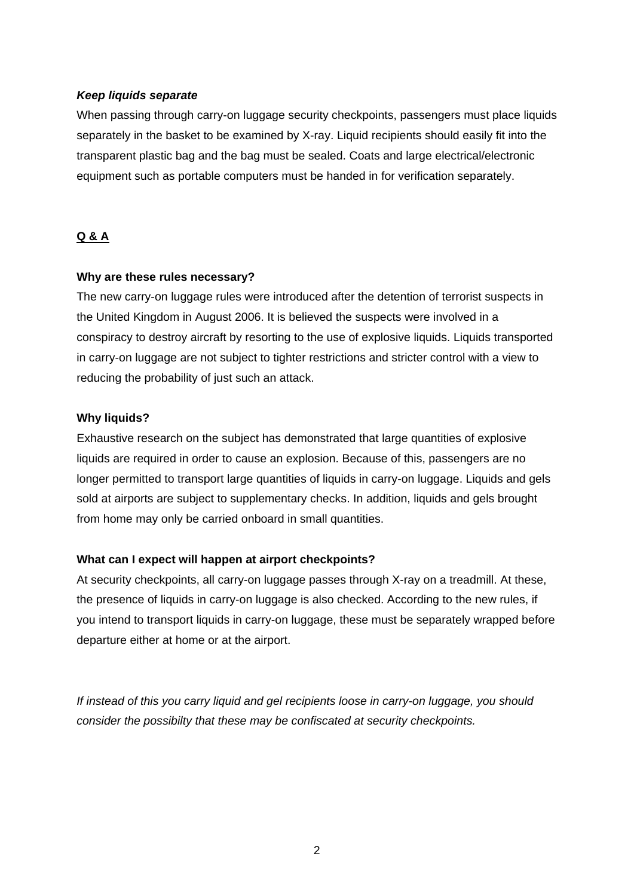#### *Keep liquids separate*

When passing through carry-on luggage security checkpoints, passengers must place liquids separately in the basket to be examined by X-ray. Liquid recipients should easily fit into the transparent plastic bag and the bag must be sealed. Coats and large electrical/electronic equipment such as portable computers must be handed in for verification separately.

# **Q & A**

#### **Why are these rules necessary?**

The new carry-on luggage rules were introduced after the detention of terrorist suspects in the United Kingdom in August 2006. It is believed the suspects were involved in a conspiracy to destroy aircraft by resorting to the use of explosive liquids. Liquids transported in carry-on luggage are not subject to tighter restrictions and stricter control with a view to reducing the probability of just such an attack.

### **Why liquids?**

Exhaustive research on the subject has demonstrated that large quantities of explosive liquids are required in order to cause an explosion. Because of this, passengers are no longer permitted to transport large quantities of liquids in carry-on luggage. Liquids and gels sold at airports are subject to supplementary checks. In addition, liquids and gels brought from home may only be carried onboard in small quantities.

## **What can I expect will happen at airport checkpoints?**

At security checkpoints, all carry-on luggage passes through X-ray on a treadmill. At these, the presence of liquids in carry-on luggage is also checked. According to the new rules, if you intend to transport liquids in carry-on luggage, these must be separately wrapped before departure either at home or at the airport.

*If instead of this you carry liquid and gel recipients loose in carry-on luggage, you should consider the possibilty that these may be confiscated at security checkpoints.*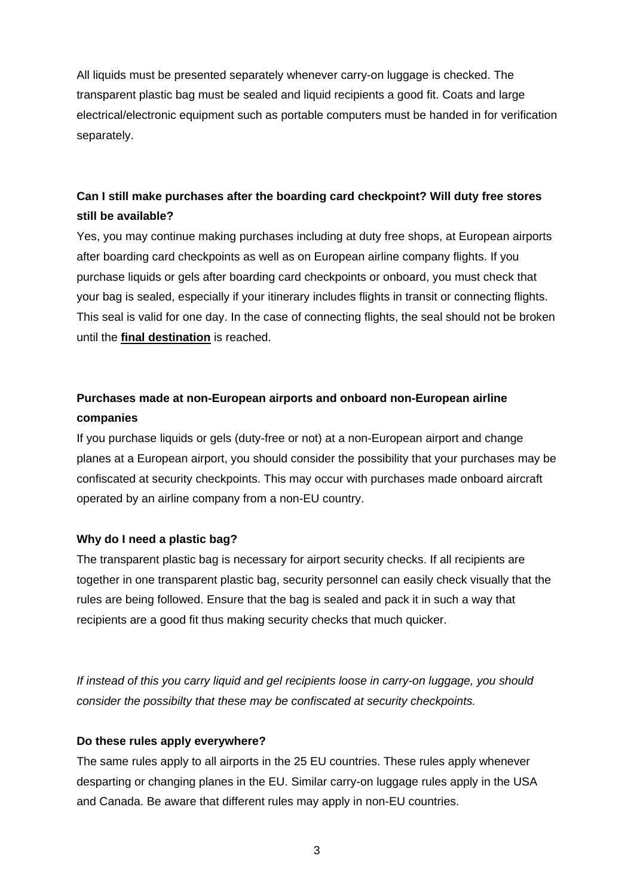All liquids must be presented separately whenever carry-on luggage is checked. The transparent plastic bag must be sealed and liquid recipients a good fit. Coats and large electrical/electronic equipment such as portable computers must be handed in for verification separately.

# **Can I still make purchases after the boarding card checkpoint? Will duty free stores still be available?**

Yes, you may continue making purchases including at duty free shops, at European airports after boarding card checkpoints as well as on European airline company flights. If you purchase liquids or gels after boarding card checkpoints or onboard, you must check that your bag is sealed, especially if your itinerary includes flights in transit or connecting flights. This seal is valid for one day. In the case of connecting flights, the seal should not be broken until the **final destination** is reached.

# **Purchases made at non-European airports and onboard non-European airline companies**

If you purchase liquids or gels (duty-free or not) at a non-European airport and change planes at a European airport, you should consider the possibility that your purchases may be confiscated at security checkpoints. This may occur with purchases made onboard aircraft operated by an airline company from a non-EU country.

## **Why do I need a plastic bag?**

The transparent plastic bag is necessary for airport security checks. If all recipients are together in one transparent plastic bag, security personnel can easily check visually that the rules are being followed. Ensure that the bag is sealed and pack it in such a way that recipients are a good fit thus making security checks that much quicker.

*If instead of this you carry liquid and gel recipients loose in carry-on luggage, you should consider the possibilty that these may be confiscated at security checkpoints.* 

## **Do these rules apply everywhere?**

The same rules apply to all airports in the 25 EU countries. These rules apply whenever desparting or changing planes in the EU. Similar carry-on luggage rules apply in the USA and Canada. Be aware that different rules may apply in non-EU countries.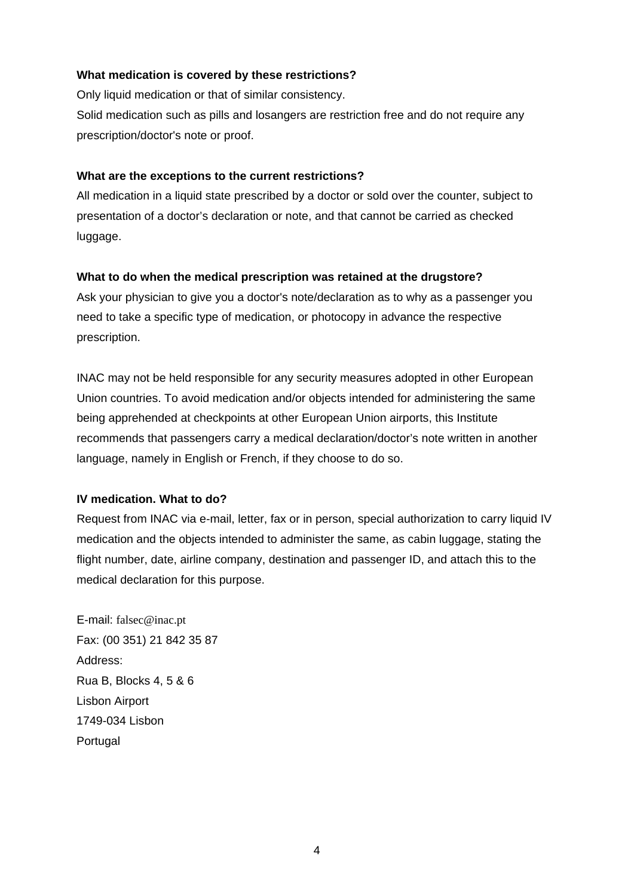### **What medication is covered by these restrictions?**

Only liquid medication or that of similar consistency. Solid medication such as pills and losangers are restriction free and do not require any prescription/doctor's note or proof.

## **What are the exceptions to the current restrictions?**

All medication in a liquid state prescribed by a doctor or sold over the counter, subject to presentation of a doctor's declaration or note, and that cannot be carried as checked luggage.

### **What to do when the medical prescription was retained at the drugstore?**

Ask your physician to give you a doctor's note/declaration as to why as a passenger you need to take a specific type of medication, or photocopy in advance the respective prescription.

INAC may not be held responsible for any security measures adopted in other European Union countries. To avoid medication and/or objects intended for administering the same being apprehended at checkpoints at other European Union airports, this Institute recommends that passengers carry a medical declaration/doctor's note written in another language, namely in English or French, if they choose to do so.

## **IV medication. What to do?**

Request from INAC via e-mail, letter, fax or in person, special authorization to carry liquid IV medication and the objects intended to administer the same, as cabin luggage, stating the flight number, date, airline company, destination and passenger ID, and attach this to the medical declaration for this purpose.

E-mail: [falsec@inac.pt](mailto:falsec@inac.pt) Fax: (00 351) 21 842 35 87 Address: Rua B, Blocks 4, 5 & 6 Lisbon Airport 1749-034 Lisbon **Portugal**